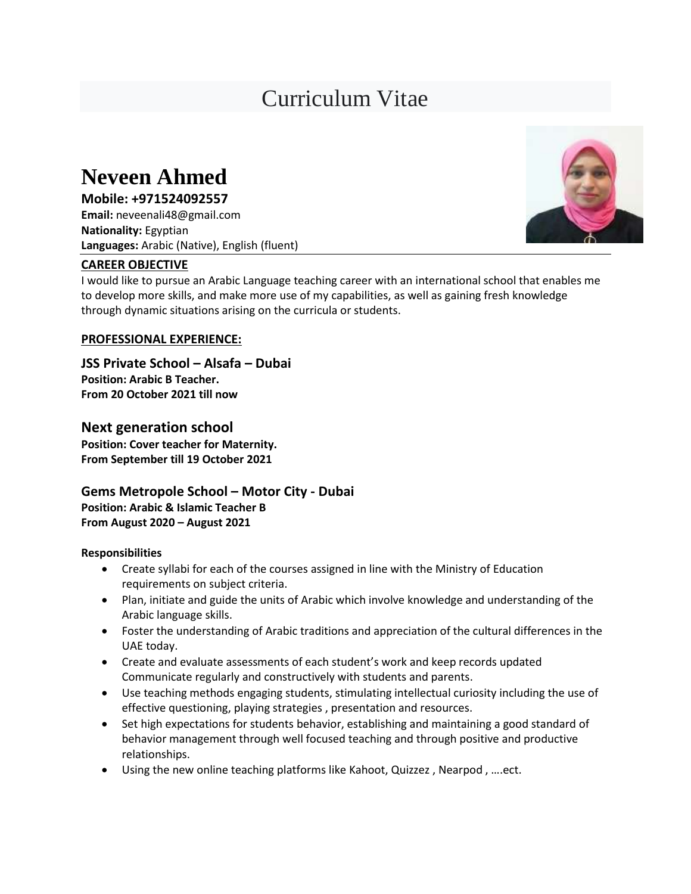# Curriculum Vitae

## **Neveen Ahmed**

**Mobile: +971524092557 Email:** neveenali48@gmail.com **Nationality:** Egyptian **Languages:** Arabic (Native), English (fluent)

### **CAREER OBJECTIVE**

I would like to pursue an Arabic Language teaching career with an international school that enables me to develop more skills, and make more use of my capabilities, as well as gaining fresh knowledge through dynamic situations arising on the curricula or students.

#### **PROFESSIONAL EXPERIENCE:**

**JSS Private School – Alsafa – Dubai Position: Arabic B Teacher. From 20 October 2021 till now** 

**Next generation school Position: Cover teacher for Maternity. From September till 19 October 2021**

**Gems Metropole School – Motor City - Dubai Position: Arabic & Islamic Teacher B From August 2020 – August 2021**

#### **Responsibilities**

- Create syllabi for each of the courses assigned in line with the Ministry of Education requirements on subject criteria.
- Plan, initiate and guide the units of Arabic which involve knowledge and understanding of the Arabic language skills.
- Foster the understanding of Arabic traditions and appreciation of the cultural differences in the UAE today.
- Create and evaluate assessments of each student's work and keep records updated Communicate regularly and constructively with students and parents.
- Use teaching methods engaging students, stimulating intellectual curiosity including the use of effective questioning, playing strategies , presentation and resources.
- Set high expectations for students behavior, establishing and maintaining a good standard of behavior management through well focused teaching and through positive and productive relationships.
- Using the new online teaching platforms like Kahoot, Quizzez , Nearpod , ….ect.

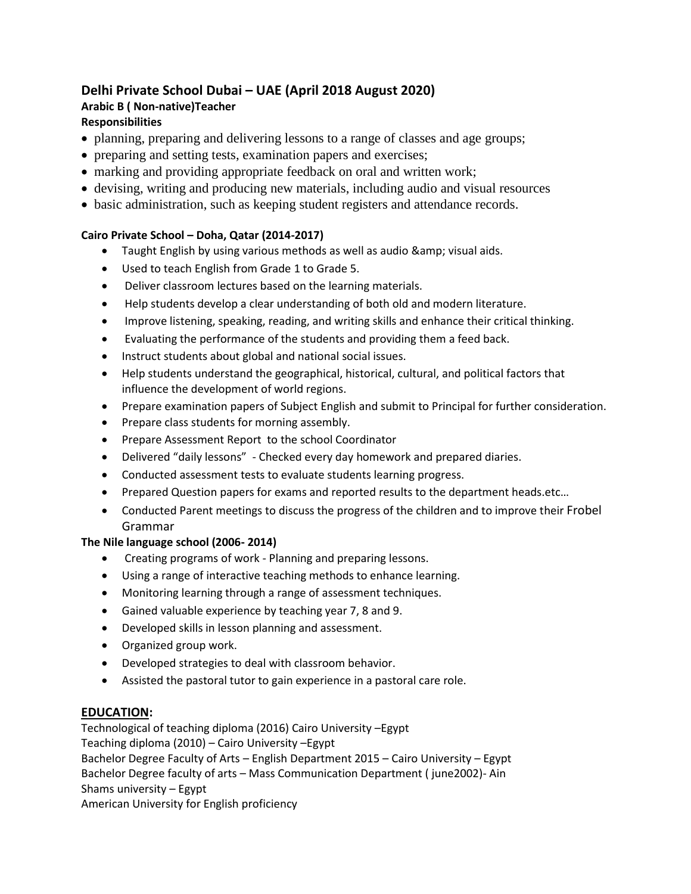#### **Delhi Private School Dubai – UAE (April 2018 August 2020) Arabic B ( Non-native)Teacher Responsibilities**

- planning, preparing and delivering lessons to a range of classes and age groups;
- preparing and setting tests, examination papers and exercises;
- marking and providing appropriate feedback on oral and written work;
- devising, writing and producing new materials, including audio and visual resources
- basic administration, such as keeping student registers and attendance records.

#### **Cairo Private School – Doha, Qatar (2014-2017)**

- $\bullet$  Taught English by using various methods as well as audio & amp; visual aids.
- Used to teach English from Grade 1 to Grade 5.
- Deliver classroom lectures based on the learning materials.
- Help students develop a clear understanding of both old and modern literature.
- Improve listening, speaking, reading, and writing skills and enhance their critical thinking.
- Evaluating the performance of the students and providing them a feed back.
- Instruct students about global and national social issues.
- Help students understand the geographical, historical, cultural, and political factors that influence the development of world regions.
- Prepare examination papers of Subject English and submit to Principal for further consideration.
- Prepare class students for morning assembly.
- Prepare Assessment Report to the school Coordinator
- Delivered "daily lessons" Checked every day homework and prepared diaries.
- Conducted assessment tests to evaluate students learning progress.
- Prepared Question papers for exams and reported results to the department heads.etc…
- Conducted Parent meetings to discuss the progress of the children and to improve their Frobel Grammar

#### **The Nile language school (2006- 2014)**

- Creating programs of work Planning and preparing lessons.
- Using a range of interactive teaching methods to enhance learning.
- Monitoring learning through a range of assessment techniques.
- Gained valuable experience by teaching year 7, 8 and 9.
- Developed skills in lesson planning and assessment.
- Organized group work.
- Developed strategies to deal with classroom behavior.
- Assisted the pastoral tutor to gain experience in a pastoral care role.

#### **EDUCATION:**

Technological of teaching diploma (2016) Cairo University –Egypt Teaching diploma (2010) – Cairo University –Egypt Bachelor Degree Faculty of Arts – English Department 2015 – Cairo University – Egypt Bachelor Degree faculty of arts – Mass Communication Department ( june2002)- Ain Shams university – Egypt American University for English proficiency